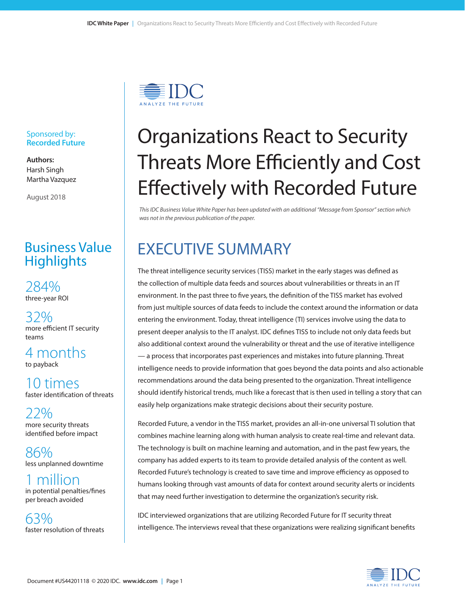

#### Sponsored by: **Recorded Future**

**Authors:** Harsh Singh Martha Vazquez

August 2018

### Business Value **Highlights**

284% three-year ROI

32% more efficient IT security teams

4 months to payback

10 times faster identification of threats

22% more security threats identified before impact

86% less unplanned downtime

million in potential penalties/fines per breach avoided

63% faster resolution of threats

# Organizations React to Security Threats More Efficiently and Cost Effectively with Recorded Future

*This IDC Business Value White Paper has been updated with an additional "Message from Sponsor" section which was not in the previous publication of the paper.*

## EXECUTIVE SUMMARY

The threat intelligence security services (TISS) market in the early stages was defined as the collection of multiple data feeds and sources about vulnerabilities or threats in an IT environment. In the past three to five years, the definition of the TISS market has evolved from just multiple sources of data feeds to include the context around the information or data entering the environment. Today, threat intelligence (TI) services involve using the data to present deeper analysis to the IT analyst. IDC defines TISS to include not only data feeds but also additional context around the vulnerability or threat and the use of iterative intelligence — a process that incorporates past experiences and mistakes into future planning. Threat intelligence needs to provide information that goes beyond the data points and also actionable recommendations around the data being presented to the organization. Threat intelligence should identify historical trends, much like a forecast that is then used in telling a story that can easily help organizations make strategic decisions about their security posture.

Recorded Future, a vendor in the TISS market, provides an all-in-one universal TI solution that combines machine learning along with human analysis to create real-time and relevant data. The technology is built on machine learning and automation, and in the past few years, the company has added experts to its team to provide detailed analysis of the content as well. Recorded Future's technology is created to save time and improve efficiency as opposed to humans looking through vast amounts of data for context around security alerts or incidents that may need further investigation to determine the organization's security risk.

IDC interviewed organizations that are utilizing Recorded Future for IT security threat intelligence. The interviews reveal that these organizations were realizing significant benefits

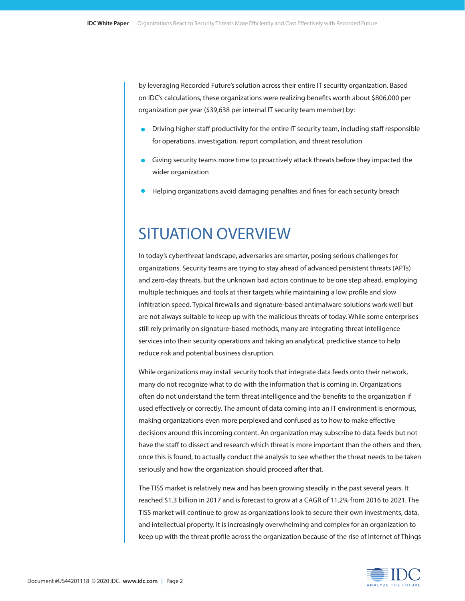by leveraging Recorded Future's solution across their entire IT security organization. Based on IDC's calculations, these organizations were realizing benefits worth about \$806,000 per organization per year (\$39,638 per internal IT security team member) by:

- **•** Driving higher staff productivity for the entire IT security team, including staff responsible for operations, investigation, report compilation, and threat resolution
- Giving security teams more time to proactively attack threats before they impacted the wider organization
- Helping organizations avoid damaging penalties and fines for each security breach

## SITUATION OVERVIEW

In today's cyberthreat landscape, adversaries are smarter, posing serious challenges for organizations. Security teams are trying to stay ahead of advanced persistent threats (APTs) and zero-day threats, but the unknown bad actors continue to be one step ahead, employing multiple techniques and tools at their targets while maintaining a low profile and slow infiltration speed. Typical firewalls and signature-based antimalware solutions work well but are not always suitable to keep up with the malicious threats of today. While some enterprises still rely primarily on signature-based methods, many are integrating threat intelligence services into their security operations and taking an analytical, predictive stance to help reduce risk and potential business disruption.

While organizations may install security tools that integrate data feeds onto their network, many do not recognize what to do with the information that is coming in. Organizations often do not understand the term threat intelligence and the benefits to the organization if used effectively or correctly. The amount of data coming into an IT environment is enormous, making organizations even more perplexed and confused as to how to make effective decisions around this incoming content. An organization may subscribe to data feeds but not have the staff to dissect and research which threat is more important than the others and then, once this is found, to actually conduct the analysis to see whether the threat needs to be taken seriously and how the organization should proceed after that.

The TISS market is relatively new and has been growing steadily in the past several years. It reached \$1.3 billion in 2017 and is forecast to grow at a CAGR of 11.2% from 2016 to 2021. The TISS market will continue to grow as organizations look to secure their own investments, data, and intellectual property. It is increasingly overwhelming and complex for an organization to keep up with the threat profile across the organization because of the rise of Internet of Things

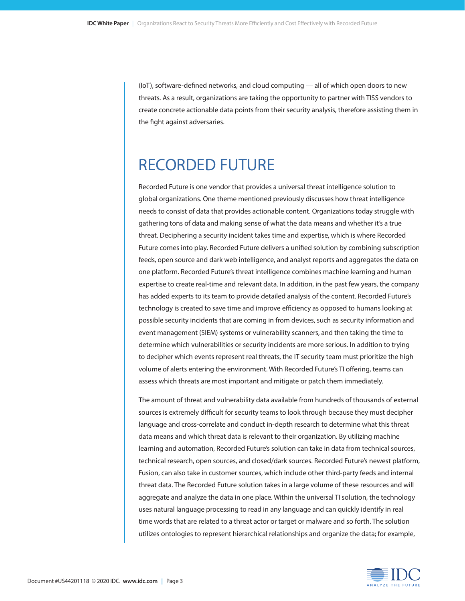(IoT), software-defined networks, and cloud computing — all of which open doors to new threats. As a result, organizations are taking the opportunity to partner with TISS vendors to create concrete actionable data points from their security analysis, therefore assisting them in the fight against adversaries.

### RECORDED FUTURE

Recorded Future is one vendor that provides a universal threat intelligence solution to global organizations. One theme mentioned previously discusses how threat intelligence needs to consist of data that provides actionable content. Organizations today struggle with gathering tons of data and making sense of what the data means and whether it's a true threat. Deciphering a security incident takes time and expertise, which is where Recorded Future comes into play. Recorded Future delivers a unified solution by combining subscription feeds, open source and dark web intelligence, and analyst reports and aggregates the data on one platform. Recorded Future's threat intelligence combines machine learning and human expertise to create real-time and relevant data. In addition, in the past few years, the company has added experts to its team to provide detailed analysis of the content. Recorded Future's technology is created to save time and improve efficiency as opposed to humans looking at possible security incidents that are coming in from devices, such as security information and event management (SIEM) systems or vulnerability scanners, and then taking the time to determine which vulnerabilities or security incidents are more serious. In addition to trying to decipher which events represent real threats, the IT security team must prioritize the high volume of alerts entering the environment. With Recorded Future's TI offering, teams can assess which threats are most important and mitigate or patch them immediately.

The amount of threat and vulnerability data available from hundreds of thousands of external sources is extremely difficult for security teams to look through because they must decipher language and cross-correlate and conduct in-depth research to determine what this threat data means and which threat data is relevant to their organization. By utilizing machine learning and automation, Recorded Future's solution can take in data from technical sources, technical research, open sources, and closed/dark sources. Recorded Future's newest platform, Fusion, can also take in customer sources, which include other third-party feeds and internal threat data. The Recorded Future solution takes in a large volume of these resources and will aggregate and analyze the data in one place. Within the universal TI solution, the technology uses natural language processing to read in any language and can quickly identify in real time words that are related to a threat actor or target or malware and so forth. The solution utilizes ontologies to represent hierarchical relationships and organize the data; for example,

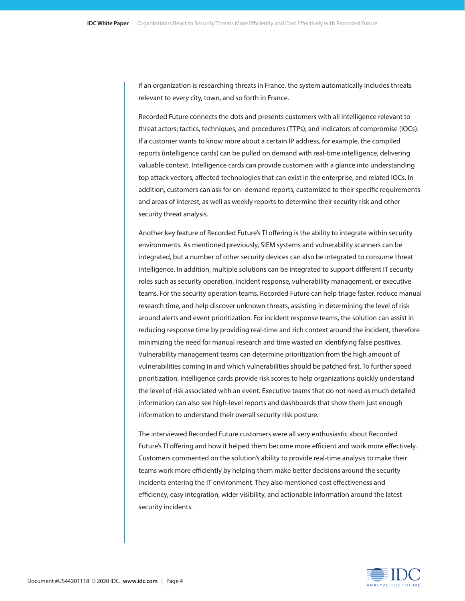if an organization is researching threats in France, the system automatically includes threats relevant to every city, town, and so forth in France.

Recorded Future connects the dots and presents customers with all intelligence relevant to threat actors; tactics, techniques, and procedures (TTPs); and indicators of compromise (IOCs). If a customer wants to know more about a certain IP address, for example, the compiled reports (intelligence cards) can be pulled on demand with real-time intelligence, delivering valuable context. Intelligence cards can provide customers with a glance into understanding top attack vectors, affected technologies that can exist in the enterprise, and related IOCs. In addition, customers can ask for on–demand reports, customized to their specific requirements and areas of interest, as well as weekly reports to determine their security risk and other security threat analysis.

Another key feature of Recorded Future's TI offering is the ability to integrate within security environments. As mentioned previously, SIEM systems and vulnerability scanners can be integrated, but a number of other security devices can also be integrated to consume threat intelligence. In addition, multiple solutions can be integrated to support different IT security roles such as security operation, incident response, vulnerability management, or executive teams. For the security operation teams, Recorded Future can help triage faster, reduce manual research time, and help discover unknown threats, assisting in determining the level of risk around alerts and event prioritization. For incident response teams, the solution can assist in reducing response time by providing real-time and rich context around the incident, therefore minimizing the need for manual research and time wasted on identifying false positives. Vulnerability management teams can determine prioritization from the high amount of vulnerabilities coming in and which vulnerabilities should be patched first. To further speed prioritization, intelligence cards provide risk scores to help organizations quickly understand the level of risk associated with an event. Executive teams that do not need as much detailed information can also see high-level reports and dashboards that show them just enough information to understand their overall security risk posture.

The interviewed Recorded Future customers were all very enthusiastic about Recorded Future's TI offering and how it helped them become more efficient and work more effectively. Customers commented on the solution's ability to provide real-time analysis to make their teams work more efficiently by helping them make better decisions around the security incidents entering the IT environment. They also mentioned cost effectiveness and efficiency, easy integration, wider visibility, and actionable information around the latest security incidents.

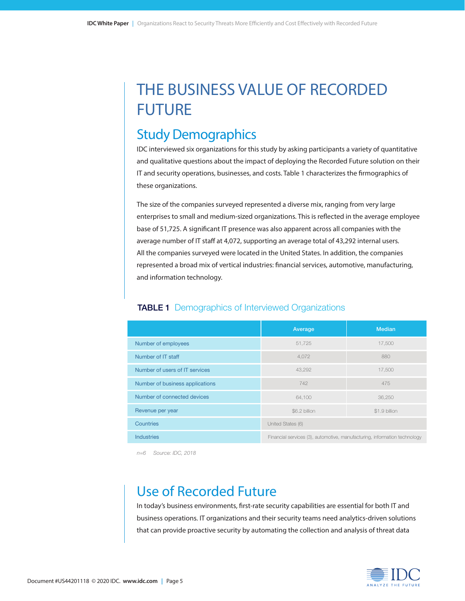## THE BUSINESS VALUE OF RECORDED FUTURE

### Study Demographics

IDC interviewed six organizations for this study by asking participants a variety of quantitative and qualitative questions about the impact of deploying the Recorded Future solution on their IT and security operations, businesses, and costs. Table 1 characterizes the firmographics of these organizations.

The size of the companies surveyed represented a diverse mix, ranging from very large enterprises to small and medium-sized organizations. This is reflected in the average employee base of 51,725. A significant IT presence was also apparent across all companies with the average number of IT staff at 4,072, supporting an average total of 43,292 internal users. All the companies surveyed were located in the United States. In addition, the companies represented a broad mix of vertical industries: financial services, automotive, manufacturing, and information technology.

|                                 | Average                                                                   | <b>Median</b> |  |
|---------------------------------|---------------------------------------------------------------------------|---------------|--|
| Number of employees             | 51,725                                                                    | 17,500        |  |
| Number of IT staff              | 4,072                                                                     | 880           |  |
| Number of users of IT services  | 43,292                                                                    | 17,500        |  |
| Number of business applications | 742<br>475                                                                |               |  |
| Number of connected devices     | 36,250<br>64,100                                                          |               |  |
| Revenue per year                | \$6.2 billion<br>\$1.9 billion                                            |               |  |
| Countries                       | United States (6)                                                         |               |  |
| <b>Industries</b>               | Financial services (3), automotive, manufacturing, information technology |               |  |

#### **TABLE 1** Demographics of Interviewed Organizations

*n=6 Source: IDC, 2018*

### Use of Recorded Future

In today's business environments, first-rate security capabilities are essential for both IT and business operations. IT organizations and their security teams need analytics-driven solutions that can provide proactive security by automating the collection and analysis of threat data

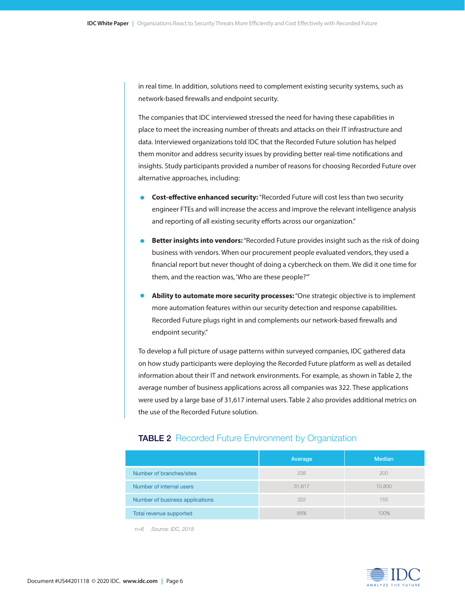in real time. In addition, solutions need to complement existing security systems, such as network-based firewalls and endpoint security.

The companies that IDC interviewed stressed the need for having these capabilities in place to meet the increasing number of threats and attacks on their IT infrastructure and data. Interviewed organizations told IDC that the Recorded Future solution has helped them monitor and address security issues by providing better real-time notifications and insights. Study participants provided a number of reasons for choosing Recorded Future over alternative approaches, including:

- **• Cost-effective enhanced security:** "Recorded Future will cost less than two security engineer FTEs and will increase the access and improve the relevant intelligence analysis and reporting of all existing security efforts across our organization."
- **• Better insights into vendors:** "Recorded Future provides insight such as the risk of doing business with vendors. When our procurement people evaluated vendors, they used a financial report but never thought of doing a cybercheck on them. We did it one time for them, and the reaction was, 'Who are these people?'"
- **• Ability to automate more security processes:** "One strategic objective is to implement more automation features within our security detection and response capabilities. Recorded Future plugs right in and complements our network-based firewalls and endpoint security."

To develop a full picture of usage patterns within surveyed companies, IDC gathered data on how study participants were deploying the Recorded Future platform as well as detailed information about their IT and network environments. For example, as shown in Table 2, the average number of business applications across all companies was 322. These applications were used by a large base of 31,617 internal users. Table 2 also provides additional metrics on the use of the Recorded Future solution.

#### **TABLE 2** Recorded Future Environment by Organization

|                                 | Average | <b>Median</b> |
|---------------------------------|---------|---------------|
| Number of branches/sites        | 238     | 200           |
| Number of internal users        | 31,617  | 10,800        |
| Number of business applications | 322     | 155           |
| Total revenue supported         | 88%     | 100%          |

*n=6 Source: IDC, 2018*

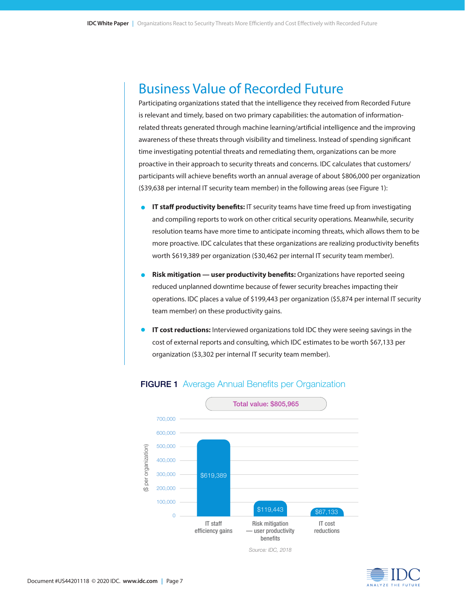### Business Value of Recorded Future

Participating organizations stated that the intelligence they received from Recorded Future is relevant and timely, based on two primary capabilities: the automation of informationrelated threats generated through machine learning/artificial intelligence and the improving awareness of these threats through visibility and timeliness. Instead of spending significant time investigating potential threats and remediating them, organizations can be more proactive in their approach to security threats and concerns. IDC calculates that customers/ participants will achieve benefits worth an annual average of about \$806,000 per organization (\$39,638 per internal IT security team member) in the following areas (see Figure 1):

- **IT staff productivity benefits:** IT security teams have time freed up from investigating and compiling reports to work on other critical security operations. Meanwhile, security resolution teams have more time to anticipate incoming threats, which allows them to be more proactive. IDC calculates that these organizations are realizing productivity benefits worth \$619,389 per organization (\$30,462 per internal IT security team member).
- **• Risk mitigation user productivity benefits:** Organizations have reported seeing reduced unplanned downtime because of fewer security breaches impacting their operations. IDC places a value of \$199,443 per organization (\$5,874 per internal IT security team member) on these productivity gains.
- **• IT cost reductions:** Interviewed organizations told IDC they were seeing savings in the cost of external reports and consulting, which IDC estimates to be worth \$67,133 per organization (\$3,302 per internal IT security team member).



#### FIGURE 1 Average Annual Benefits per Organization

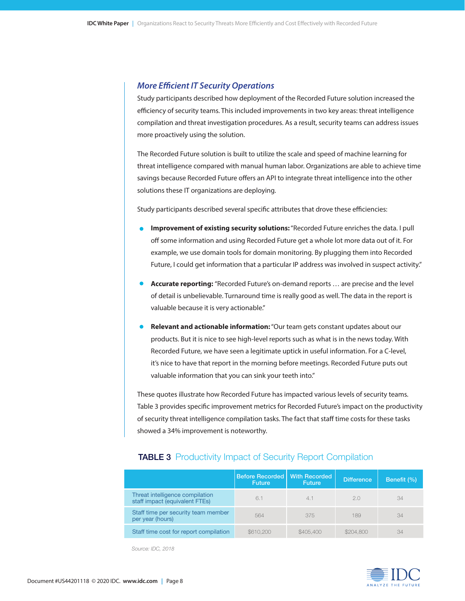#### *More Efficient IT Security Operations*

Study participants described how deployment of the Recorded Future solution increased the efficiency of security teams. This included improvements in two key areas: threat intelligence compilation and threat investigation procedures. As a result, security teams can address issues more proactively using the solution.

The Recorded Future solution is built to utilize the scale and speed of machine learning for threat intelligence compared with manual human labor. Organizations are able to achieve time savings because Recorded Future offers an API to integrate threat intelligence into the other solutions these IT organizations are deploying.

Study participants described several specific attributes that drove these efficiencies:

- **• Improvement of existing security solutions:** "Recorded Future enriches the data. I pull off some information and using Recorded Future get a whole lot more data out of it. For example, we use domain tools for domain monitoring. By plugging them into Recorded Future, I could get information that a particular IP address was involved in suspect activity."
- **• Accurate reporting:** "Recorded Future's on-demand reports … are precise and the level of detail is unbelievable. Turnaround time is really good as well. The data in the report is valuable because it is very actionable."
- **• Relevant and actionable information:** "Our team gets constant updates about our products. But it is nice to see high-level reports such as what is in the news today. With Recorded Future, we have seen a legitimate uptick in useful information. For a C-level, it's nice to have that report in the morning before meetings. Recorded Future puts out valuable information that you can sink your teeth into."

These quotes illustrate how Recorded Future has impacted various levels of security teams. Table 3 provides specific improvement metrics for Recorded Future's impact on the productivity of security threat intelligence compilation tasks. The fact that staff time costs for these tasks showed a 34% improvement is noteworthy.

|                                                                   | <b>Before Recorded</b><br><b>Future</b> | <b>With Recorded</b><br><b>Future</b> | <b>Difference</b> | Benefit (%) |
|-------------------------------------------------------------------|-----------------------------------------|---------------------------------------|-------------------|-------------|
| Threat intelligence compilation<br>staff impact (equivalent FTEs) | 6.1                                     | 4.1                                   | 2.0               | 34          |
| Staff time per security team member<br>per year (hours)           | 564                                     | 375                                   | 189               | 34          |
| Staff time cost for report compilation                            | \$610,200                               | \$405,400                             | \$204,800         | 34          |

#### **TABLE 3** Productivity Impact of Security Report Compilation

 *Source: IDC, 2018*

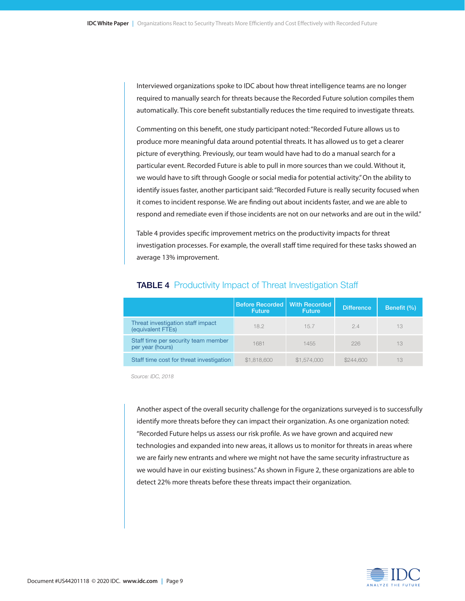Interviewed organizations spoke to IDC about how threat intelligence teams are no longer required to manually search for threats because the Recorded Future solution compiles them automatically. This core benefit substantially reduces the time required to investigate threats.

Commenting on this benefit, one study participant noted: "Recorded Future allows us to produce more meaningful data around potential threats. It has allowed us to get a clearer picture of everything. Previously, our team would have had to do a manual search for a particular event. Recorded Future is able to pull in more sources than we could. Without it, we would have to sift through Google or social media for potential activity." On the ability to identify issues faster, another participant said: "Recorded Future is really security focused when it comes to incident response. We are finding out about incidents faster, and we are able to respond and remediate even if those incidents are not on our networks and are out in the wild."

Table 4 provides specific improvement metrics on the productivity impacts for threat investigation processes. For example, the overall staff time required for these tasks showed an average 13% improvement.

|                                                         | Before Recorded   With Recorded<br><b>Future</b> | <b>Future</b> | <b>Difference</b> | Benefit (%) |
|---------------------------------------------------------|--------------------------------------------------|---------------|-------------------|-------------|
| Threat investigation staff impact<br>(equivalent FTEs)  | 18.2                                             | 15.7          | 24                | 13          |
| Staff time per security team member<br>per year (hours) | 1681                                             | 1455          | 226               | 13          |
| Staff time cost for threat investigation                | \$1,818,600                                      | \$1,574,000   | \$244,600         | 13          |

#### **TABLE 4** Productivity Impact of Threat Investigation Staff

 *Source: IDC, 2018*

Another aspect of the overall security challenge for the organizations surveyed is to successfully identify more threats before they can impact their organization. As one organization noted: "Recorded Future helps us assess our risk profile. As we have grown and acquired new technologies and expanded into new areas, it allows us to monitor for threats in areas where we are fairly new entrants and where we might not have the same security infrastructure as we would have in our existing business." As shown in Figure 2, these organizations are able to detect 22% more threats before these threats impact their organization.

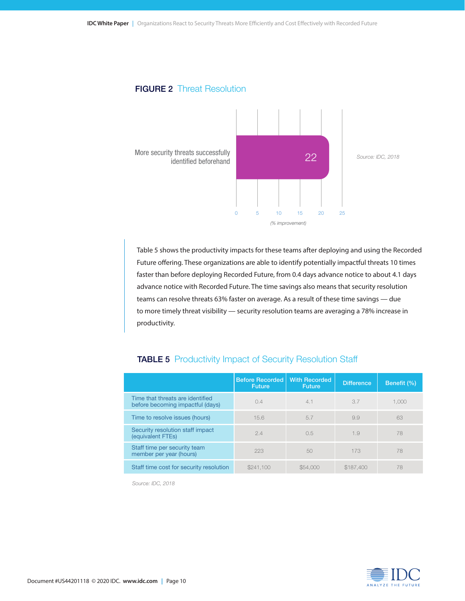#### **FIGURE 2 Threat Resolution**



Table 5 shows the productivity impacts for these teams after deploying and using the Recorded Future offering. These organizations are able to identify potentially impactful threats 10 times faster than before deploying Recorded Future, from 0.4 days advance notice to about 4.1 days advance notice with Recorded Future. The time savings also means that security resolution teams can resolve threats 63% faster on average. As a result of these time savings — due to more timely threat visibility — security resolution teams are averaging a 78% increase in productivity.

|                                                                      | Before Recorded<br><b>Future</b> | <b>With Recorded</b><br><b>Future</b> | <b>Difference</b> | Benefit (%) |
|----------------------------------------------------------------------|----------------------------------|---------------------------------------|-------------------|-------------|
| Time that threats are identified<br>before becoming impactful (days) | 0.4                              | 4.1                                   | 3.7               | 1.000       |
| Time to resolve issues (hours)                                       | 15.6                             | 5.7                                   | 9.9               | 63          |
| Security resolution staff impact<br>(equivalent FTEs)                | 2.4                              | 0.5                                   | 1.9               | 78          |
| Staff time per security team<br>member per year (hours)              | 223                              | 50                                    | 173               | 78          |
| Staff time cost for security resolution                              | \$241,100                        | \$54,000                              | \$187,400         | 78          |

#### TABLE 5 Productivity Impact of Security Resolution Staff

*Source: IDC, 2018*

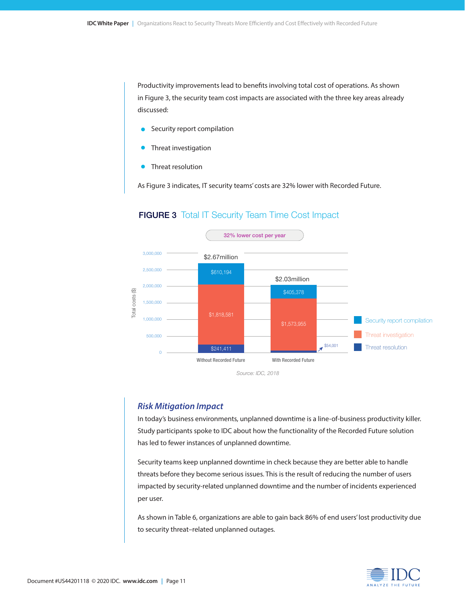Productivity improvements lead to benefits involving total cost of operations. As shown in Figure 3, the security team cost impacts are associated with the three key areas already discussed:

- Security report compilation
- Threat investigation
- Threat resolution

As Figure 3 indicates, IT security teams' costs are 32% lower with Recorded Future.



#### **FIGURE 3** Total IT Security Team Time Cost Impact

#### *Risk Mitigation Impact*

In today's business environments, unplanned downtime is a line-of-business productivity killer. Study participants spoke to IDC about how the functionality of the Recorded Future solution has led to fewer instances of unplanned downtime.

Security teams keep unplanned downtime in check because they are better able to handle threats before they become serious issues. This is the result of reducing the number of users impacted by security-related unplanned downtime and the number of incidents experienced per user.

As shown in Table 6, organizations are able to gain back 86% of end users' lost productivity due to security threat–related unplanned outages.

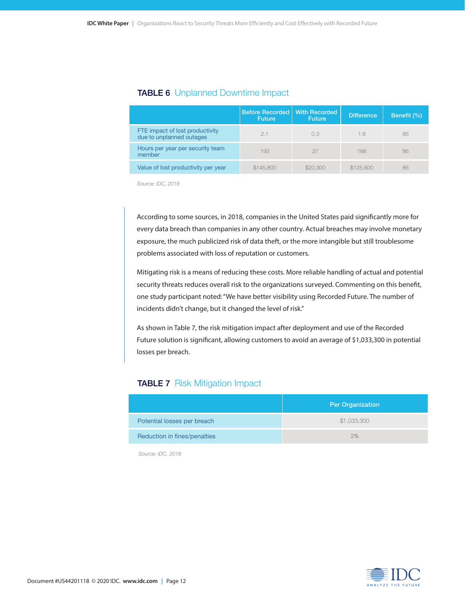|                                                             | <b>Before Recorded With Recorded</b><br><b>Future</b> | <b>Future</b> | <b>Difference</b> | Benefit (%) |
|-------------------------------------------------------------|-------------------------------------------------------|---------------|-------------------|-------------|
| FTE impact of lost productivity<br>due to unplanned outages | 21                                                    | 0.3           | 1.8               | 86          |
| Hours per year per security team<br>member                  | 193                                                   | 27            | 166               | 86          |
| Value of lost productivity per year                         | \$145,800                                             | \$20,300      | \$125,600         | 86          |

#### TABLE 6 Unplanned Downtime Impact

 *Source: IDC, 2018*

According to some sources, in 2018, companies in the United States paid significantly more for every data breach than companies in any other country. Actual breaches may involve monetary exposure, the much publicized risk of data theft, or the more intangible but still troublesome problems associated with loss of reputation or customers.

Mitigating risk is a means of reducing these costs. More reliable handling of actual and potential security threats reduces overall risk to the organizations surveyed. Commenting on this benefit, one study participant noted: "We have better visibility using Recorded Future. The number of incidents didn't change, but it changed the level of risk."

As shown in Table 7, the risk mitigation impact after deployment and use of the Recorded Future solution is significant, allowing customers to avoid an average of \$1,033,300 in potential losses per breach.

#### **TABLE 7 Risk Mitigation Impact**

|                              | <b>Per Organization</b> |
|------------------------------|-------------------------|
| Potential losses per breach  | \$1,033,300             |
| Reduction in fines/penalties | 2%                      |

 *Source: IDC, 2018*

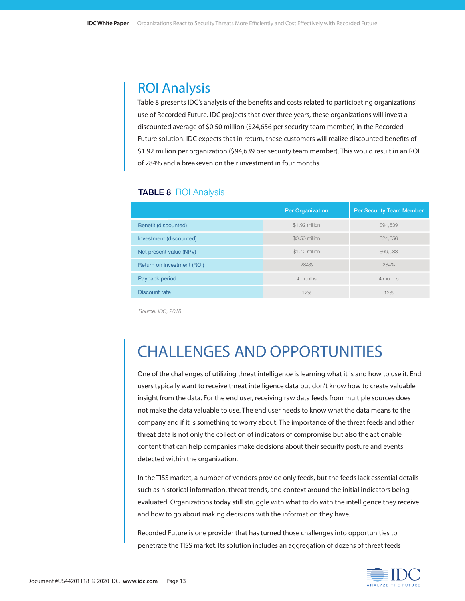### ROI Analysis

Table 8 presents IDC's analysis of the benefits and costs related to participating organizations' use of Recorded Future. IDC projects that over three years, these organizations will invest a discounted average of \$0.50 million (\$24,656 per security team member) in the Recorded Future solution. IDC expects that in return, these customers will realize discounted benefits of \$1.92 million per organization (\$94,639 per security team member). This would result in an ROI of 284% and a breakeven on their investment in four months.

#### **TABLE 8 ROI Analysis**

|                            | <b>Per Organization</b> | <b>Per Security Team Member</b> |
|----------------------------|-------------------------|---------------------------------|
| Benefit (discounted)       | \$1.92 million          | \$94,639                        |
| Investment (discounted)    | \$0.50 million          | \$24,656                        |
| Net present value (NPV)    | \$1.42 million          | \$69,983                        |
| Return on investment (ROI) | 284%                    | 284%                            |
| Payback period             | 4 months                | 4 months                        |
| Discount rate              | 12%                     | 12%                             |

 *Source: IDC, 2018*

## CHALLENGES AND OPPORTUNITIES

One of the challenges of utilizing threat intelligence is learning what it is and how to use it. End users typically want to receive threat intelligence data but don't know how to create valuable insight from the data. For the end user, receiving raw data feeds from multiple sources does not make the data valuable to use. The end user needs to know what the data means to the company and if it is something to worry about. The importance of the threat feeds and other threat data is not only the collection of indicators of compromise but also the actionable content that can help companies make decisions about their security posture and events detected within the organization.

In the TISS market, a number of vendors provide only feeds, but the feeds lack essential details such as historical information, threat trends, and context around the initial indicators being evaluated. Organizations today still struggle with what to do with the intelligence they receive and how to go about making decisions with the information they have.

Recorded Future is one provider that has turned those challenges into opportunities to penetrate the TISS market. Its solution includes an aggregation of dozens of threat feeds

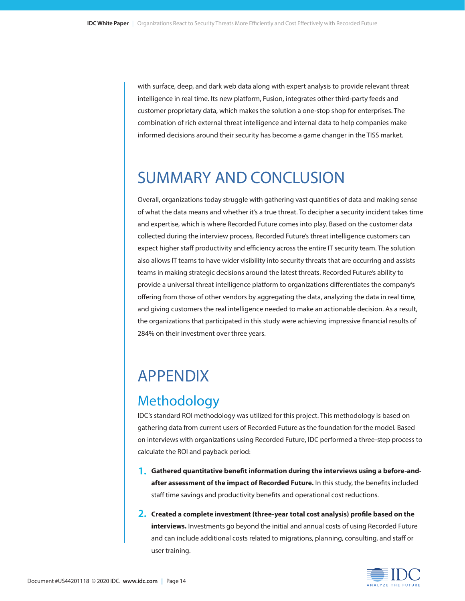with surface, deep, and dark web data along with expert analysis to provide relevant threat intelligence in real time. Its new platform, Fusion, integrates other third-party feeds and customer proprietary data, which makes the solution a one-stop shop for enterprises. The combination of rich external threat intelligence and internal data to help companies make informed decisions around their security has become a game changer in the TISS market.

## SUMMARY AND CONCLUSION

Overall, organizations today struggle with gathering vast quantities of data and making sense of what the data means and whether it's a true threat. To decipher a security incident takes time and expertise, which is where Recorded Future comes into play. Based on the customer data collected during the interview process, Recorded Future's threat intelligence customers can expect higher staff productivity and efficiency across the entire IT security team. The solution also allows IT teams to have wider visibility into security threats that are occurring and assists teams in making strategic decisions around the latest threats. Recorded Future's ability to provide a universal threat intelligence platform to organizations differentiates the company's offering from those of other vendors by aggregating the data, analyzing the data in real time, and giving customers the real intelligence needed to make an actionable decision. As a result, the organizations that participated in this study were achieving impressive financial results of 284% on their investment over three years.

## APPENDIX

### **Methodology**

IDC's standard ROI methodology was utilized for this project. This methodology is based on gathering data from current users of Recorded Future as the foundation for the model. Based on interviews with organizations using Recorded Future, IDC performed a three-step process to calculate the ROI and payback period:

- **1. Gathered quantitative benefit information during the interviews using a before-and-1.after assessment of the impact of Recorded Future.** In this study, the benefits included staff time savings and productivity benefits and operational cost reductions.
- **2. Created a complete investment (three-year total cost analysis) profile based on the 2. interviews.** Investments go beyond the initial and annual costs of using Recorded Future and can include additional costs related to migrations, planning, consulting, and staff or user training.

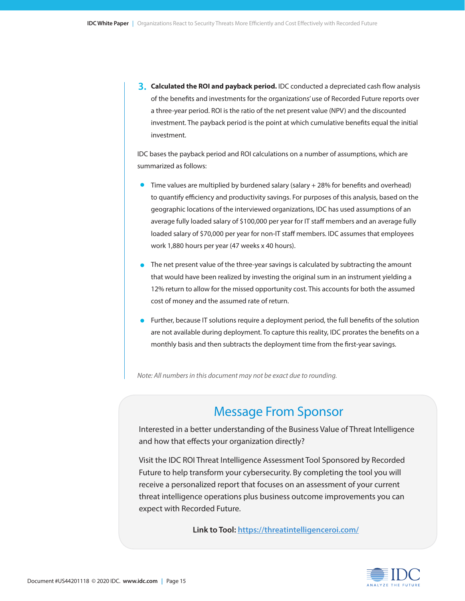**3. Calculated the ROI and payback period.** IDC conducted a depreciated cash flow analysis **3.** of the benefits and investments for the organizations' use of Recorded Future reports over a three-year period. ROI is the ratio of the net present value (NPV) and the discounted investment. The payback period is the point at which cumulative benefits equal the initial investment.

IDC bases the payback period and ROI calculations on a number of assumptions, which are summarized as follows:

- Time values are multiplied by burdened salary (salary + 28% for benefits and overhead) to quantify efficiency and productivity savings. For purposes of this analysis, based on the geographic locations of the interviewed organizations, IDC has used assumptions of an average fully loaded salary of \$100,000 per year for IT staff members and an average fully loaded salary of \$70,000 per year for non-IT staff members. IDC assumes that employees work 1,880 hours per year (47 weeks x 40 hours).
- The net present value of the three-year savings is calculated by subtracting the amount that would have been realized by investing the original sum in an instrument yielding a 12% return to allow for the missed opportunity cost. This accounts for both the assumed cost of money and the assumed rate of return.
- Further, because IT solutions require a deployment period, the full benefits of the solution are not available during deployment. To capture this reality, IDC prorates the benefits on a monthly basis and then subtracts the deployment time from the first-year savings.

*Note: All numbers in this document may not be exact due to rounding.*

### Message From Sponsor

Interested in a better understanding of the Business Value of Threat Intelligence and how that effects your organization directly?

Visit the IDC ROI Threat Intelligence Assessment Tool Sponsored by Recorded Future to help transform your cybersecurity. By completing the tool you will receive a personalized report that focuses on an assessment of your current threat intelligence operations plus business outcome improvements you can expect with Recorded Future.

**Link to Tool: https://threatintelligenceroi.com/**